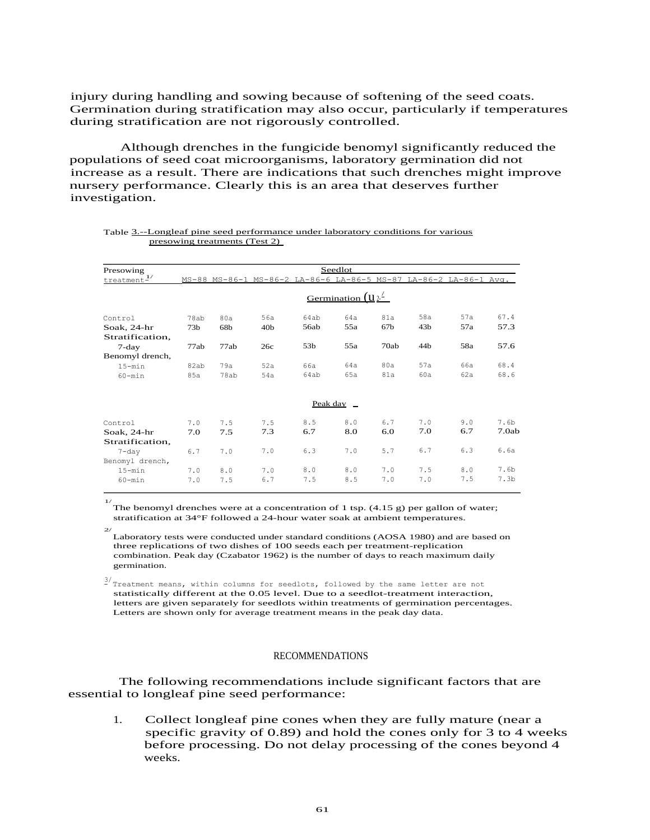injury during handling and sowing because of softening of the seed coats. Germination during stratification may also occur, particularly if temperatures during stratification are not rigorously controlled.

Although drenches in the fungicide benomyl significantly reduced the populations of seed coat microorganisms, laboratory germination did not increase as a result. There are indications that such drenches might improve nursery performance. Clearly this is an area that deserves further investigation.

| Presowing                 | Seedlot              |      |                 |                                                                  |     |      |                 |     |                  |  |  |
|---------------------------|----------------------|------|-----------------|------------------------------------------------------------------|-----|------|-----------------|-----|------------------|--|--|
| $\frac{treatment^{1}}{t}$ |                      |      |                 | MS-88 MS-86-1 MS-86-2 LA-86-6 LA-86-5 MS-87 LA-86-2 LA-86-1 Avg. |     |      |                 |     |                  |  |  |
|                           | Germination $(12^2)$ |      |                 |                                                                  |     |      |                 |     |                  |  |  |
| Control                   | 78ab                 | 80a  | 56a             | 64ab                                                             | 64a | 81a  | 58a             | 57a | 67.4             |  |  |
| Soak, 24-hr               | 73 <sub>b</sub>      | 68b  | 40 <sub>b</sub> | 56ab                                                             | 55a | 67b  | 43 <sub>b</sub> | 57a | 57.3             |  |  |
| Stratification,           |                      |      |                 |                                                                  |     |      |                 |     |                  |  |  |
| $7 - day$                 | 77ab                 | 77ab | 26c             | 53b                                                              | 55a | 70ab | 44 <sub>b</sub> | 58a | 57.6             |  |  |
| Benomyl drench,           |                      |      |                 |                                                                  |     |      |                 |     |                  |  |  |
| $15 - min$                | 82ab                 | 79a  | 52a             | 66a                                                              | 64a | 80a  | 57a             | 66a | 68.4             |  |  |
| $60 - min$                | 85a                  | 78ab | 54a             | 64ab                                                             | 65a | 81a  | 60a             | 62a | 68.6             |  |  |
|                           | Peak day             |      |                 |                                                                  |     |      |                 |     |                  |  |  |
| Control                   | 7.0                  | 7.5  | 7.5             | 8.5                                                              | 8.0 | 6.7  | 7.0             | 9.0 | 7.6b             |  |  |
| Soak, 24-hr               | 7.0                  | 7.5  | 7.3             | 6.7                                                              | 8.0 | 6.0  | 7.0             | 6.7 | 7.0ab            |  |  |
| Stratification,           |                      |      |                 |                                                                  |     |      |                 |     |                  |  |  |
| $7 - day$                 | 6.7                  | 7.0  | 7.0             | 6.3                                                              | 7.0 | 5.7  | 6.7             | 6.3 | 6.6a             |  |  |
| Benomyl drench,           |                      |      |                 |                                                                  |     |      |                 |     |                  |  |  |
| $15 - min$                | 7.0                  | 8.0  | 7.0             | 8.0                                                              | 8.0 | 7.0  | 7.5             | 8.0 | 7.6b             |  |  |
| $60 - min$                | 7.0                  | 7.5  | 6.7             | 7.5                                                              | 8.5 | 7.0  | 7.0             | 7.5 | 7.3 <sub>b</sub> |  |  |
|                           |                      |      |                 |                                                                  |     |      |                 |     |                  |  |  |

### Table 3.--Longleaf pine seed performance under laboratory conditions for various presowing treatments (Test 2)

1/ The benomyl drenches were at a concentration of 1 tsp. (4.15 g) per gallon of water; stratification at 34°F followed a 24-hour water soak at ambient temperatures.

2/ Laboratory tests were conducted under standard conditions (AOSA 1980) and are based on three replications of two dishes of 100 seeds each per treatment-replication combination. Peak day (Czabator 1962) is the number of days to reach maximum daily germination.

 $3/$  Treatment means, within columns for seedlots, followed by the same letter are not statistically different at the 0.05 level. Due to a seedlot-treatment interaction, letters are given separately for seedlots within treatments of germination percentages. Letters are shown only for average treatment means in the peak day data.

## RECOMMENDATIONS

The following recommendations include significant factors that are essential to longleaf pine seed performance:

1. Collect longleaf pine cones when they are fully mature (near a specific gravity of 0.89) and hold the cones only for 3 to 4 weeks before processing. Do not delay processing of the cones beyond 4 weeks.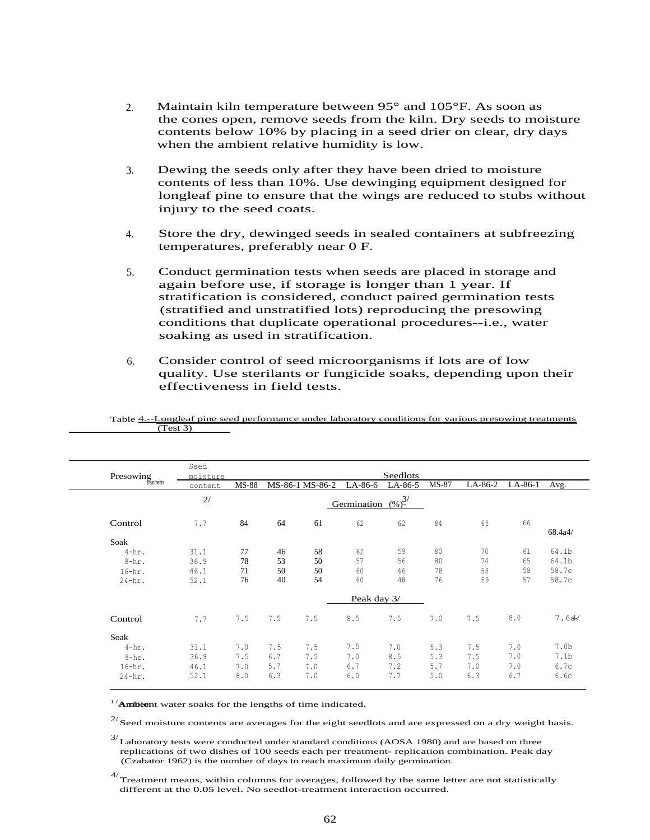- 2. Maintain kiln temperature between  $95^{\circ}$  and  $105^{\circ}$  F. As soon as the cones open, remove seeds from the kiln. Dry seeds to moisture contents below 10% by placing in a seed drier on clear, dry days when the ambient relative humidity is low.
- 3. Dewing the seeds only after they have been dried to moisture contents of less than 10%. Use dewinging equipment designed for longleaf pine to ensure that the wings are reduced to stubs without injury to the seed coats.
- 4. Store the dry, dewinged seeds in sealed containers at subfreezing temperatures, preferably near 0 F.
- 5. Conduct germination tests when seeds are placed in storage and again before use, if storage is longer than 1 year. If stratification is considered, conduct paired germination tests (stratified and unstratified lots) reproducing the presowing conditions that duplicate operational procedures--i.e., water soaking as used in stratification.
- 6. Consider control of seed microorganisms if lots are of low quality. Use sterilants or fungicide soaks, depending upon their effectiveness in field tests.

|                                               | Seed                         |                      |                      |                      |                      |                      |                      |                      |                      |                                      |
|-----------------------------------------------|------------------------------|----------------------|----------------------|----------------------|----------------------|----------------------|----------------------|----------------------|----------------------|--------------------------------------|
| Presowing                                     | moisture                     |                      | Seedlots             |                      |                      |                      |                      |                      |                      |                                      |
|                                               | content                      | <b>MS-88</b>         |                      | MS-86-1 MS-86-2      | LA-86-6              | LA-86-5              | MS-87                | LA-86-2              | $LA-86-1$            | Avg.                                 |
|                                               | 2/                           |                      |                      |                      | Germination          | $(\%)^{3/2}$         |                      |                      |                      |                                      |
| Control                                       | 7.7                          | 84                   | 64                   | 61                   | 62                   | 62                   | 84                   | 65                   | 66                   | 68.4a4/                              |
| Soak                                          |                              |                      |                      |                      |                      |                      |                      |                      |                      |                                      |
| $4-hr$ .<br>$8-hr$ .<br>$16-hr.$<br>$24-hr$ . | 31.1<br>36.9<br>46.1<br>52.1 | 77<br>78<br>71<br>76 | 46<br>53<br>50<br>40 | 58<br>50<br>50<br>54 | 62<br>57<br>60<br>60 | 59<br>56<br>46<br>48 | 80<br>80<br>78<br>76 | 70<br>74<br>58<br>59 | 61<br>65<br>58<br>57 | 64.1b<br>64.1b<br>58.7c<br>58.7c     |
|                                               |                              |                      |                      |                      | Peak day 3/          |                      |                      |                      |                      |                                      |
| Control                                       | 7.7                          | 7.5                  | 7.5                  | 7.5                  | 8.5                  | 7.5                  | 7.0                  | 7.5                  | 8.0                  | 7.6a/                                |
| Soak                                          |                              |                      |                      |                      |                      |                      |                      |                      |                      |                                      |
| $4-hr$ .<br>$8-hr$ .                          | 31.1<br>36.9                 | 7.0<br>7.5           | 7.5<br>6.7           | 7.5<br>7.5           | 7.5<br>7.0           | 7.0<br>8.5           | 5.3<br>5.3           | 7.5<br>7.5           | 7.0<br>7.0           | 7.0 <sub>b</sub><br>7.1 <sub>b</sub> |
| $16-hr$ .<br>$24-hr$ .                        | 46.1<br>52.1                 | 7.0<br>8.0           | 5.7<br>6.3           | 7.0<br>7.0           | 6.7<br>6.0           | 7.2<br>7.7           | 5.7<br>5.0           | 7.0<br>6.3           | 7.0<br>6.7           | 6.7c<br>6.6c                         |
|                                               |                              |                      |                      |                      |                      |                      |                      |                      |                      |                                      |

Table 4.--Longleaf pine seed performance under laboratory conditions for various presowing treatments (Test 3)

 $1/\lambda$ mbient water soaks for the lengths of time indicated.

 $2/$ Seed moisture contents are averages for the eight seedlots and are expressed on a dry weight basis.

 $3/$ Laboratory tests were conducted under standard conditions (AOSA 1980) and are based on three replications of two dishes of 100 seeds each per treatment- replication combination. Peak day (Czabator 1962) is the number of days to reach maximum daily germination.

 $4/$  Treatment means, within columns for averages, followed by the same letter are not statistically different at the 0.05 level. No seedlot-treatment interaction occurred.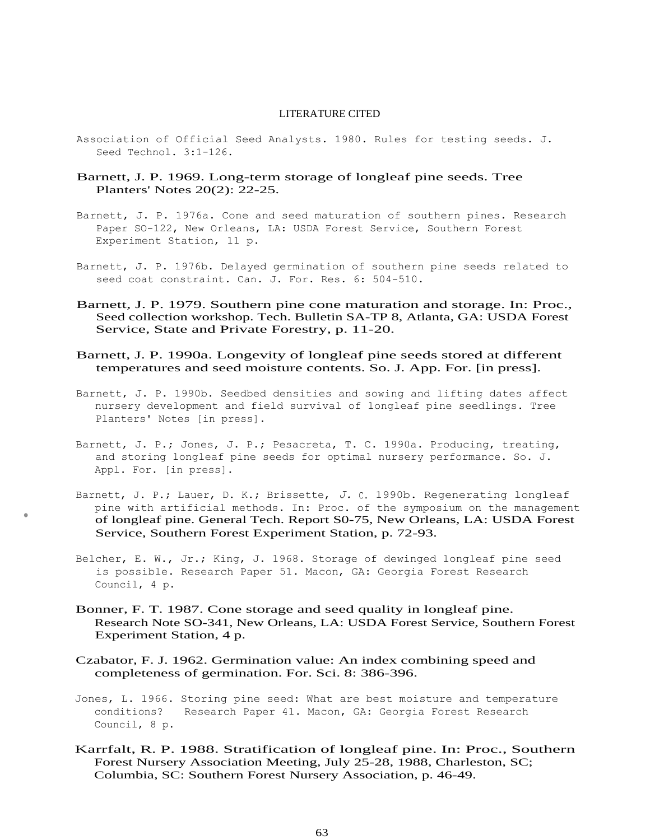#### LITERATURE CITED

Association of Official Seed Analysts. 1980. Rules for testing seeds. J. Seed Technol. 3:1-126.

### Barnett, J. P. 1969. Long-term storage of longleaf pine seeds. Tree Planters' Notes 20(2): 22-25.

- Barnett, J. P. 1976a. Cone and seed maturation of southern pines. Research Paper SO-122, New Orleans, LA: USDA Forest Service, Southern Forest Experiment Station, 11 p.
- Barnett, J. P. 1976b. Delayed germination of southern pine seeds related to seed coat constraint. Can. J. For. Res. 6: 504-510.
- Barnett, J. P. 1979. Southern pine cone maturation and storage. In: Proc., Seed collection workshop. Tech. Bulletin SA-TP 8, Atlanta, GA: USDA Forest Service, State and Private Forestry, p. 11-20.
- Barnett, J. P. 1990a. Longevity of longleaf pine seeds stored at different temperatures and seed moisture contents. So. J. App. For. [in press].
- Barnett, J. P. 1990b. Seedbed densities and sowing and lifting dates affect nursery development and field survival of longleaf pine seedlings. Tree Planters' Notes [in press].
- Barnett, J. P.; Jones, J. P.; Pesacreta, T. C. 1990a. Producing, treating, and storing longleaf pine seeds for optimal nursery performance. So. J. Appl. For. [in press].
- Barnett, J. P.; Lauer, D. K.; Brissette, *J.* C. 1990b. Regenerating longleaf pine with artificial methods. In: Proc. of the symposium on the management • of longleaf pine. General Tech. Report S0-75, New Orleans, LA: USDA Forest Service, Southern Forest Experiment Station, p. 72-93.
- Belcher, E. W., Jr.; King, J. 1968. Storage of dewinged longleaf pine seed is possible. Research Paper 51. Macon, GA: Georgia Forest Research Council, 4 p.
- Bonner, F. T. 1987. Cone storage and seed quality in longleaf pine. Research Note SO-341, New Orleans, LA: USDA Forest Service, Southern Forest Experiment Station, 4 p.
- Czabator, F. J. 1962. Germination value: An index combining speed and completeness of germination. For. Sci. 8: 386-396.
- Jones, L. 1966. Storing pine seed: What are best moisture and temperature conditions? Research Paper 41. Macon, GA: Georgia Forest Research Council, 8 p.
- Karrfalt, R. P. 1988. Stratification of longleaf pine. In: Proc., Southern Forest Nursery Association Meeting, July 25-28, 1988, Charleston, SC; Columbia, SC: Southern Forest Nursery Association, p. 46-49.